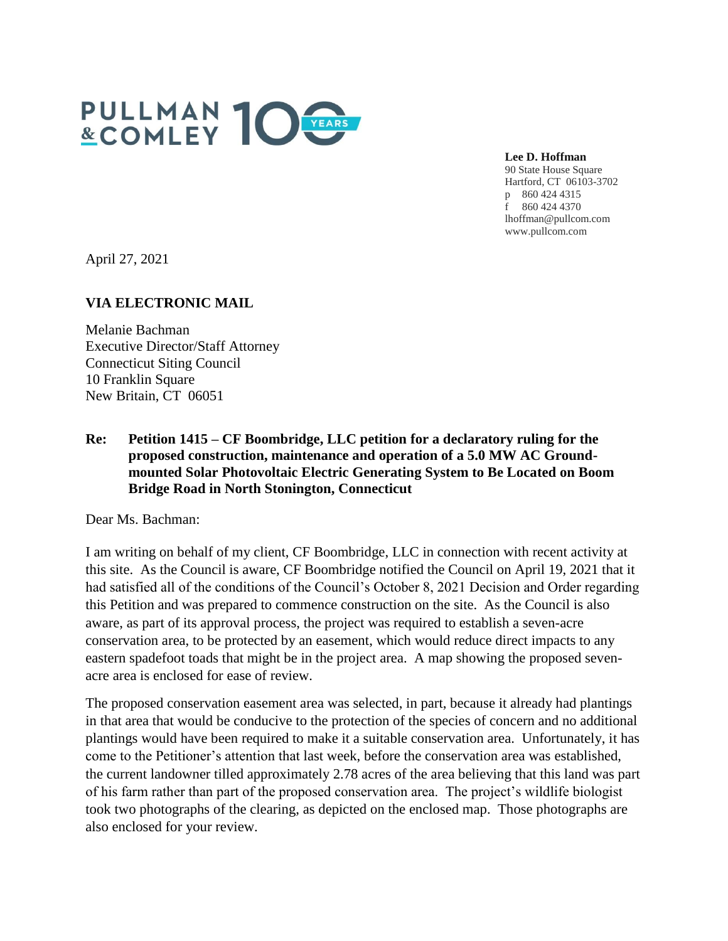

**Lee D. Hoffman** 90 State House Square Hartford, CT 06103-3702 p 860 424 4315 f 860 424 4370 lhoffman@pullcom.com www.pullcom.com

April 27, 2021

## **VIA ELECTRONIC MAIL**

Melanie Bachman Executive Director/Staff Attorney Connecticut Siting Council 10 Franklin Square New Britain, CT 06051

## **Re: Petition 1415 – CF Boombridge, LLC petition for a declaratory ruling for the proposed construction, maintenance and operation of a 5.0 MW AC Groundmounted Solar Photovoltaic Electric Generating System to Be Located on Boom Bridge Road in North Stonington, Connecticut**

Dear Ms. Bachman:

I am writing on behalf of my client, CF Boombridge, LLC in connection with recent activity at this site. As the Council is aware, CF Boombridge notified the Council on April 19, 2021 that it had satisfied all of the conditions of the Council's October 8, 2021 Decision and Order regarding this Petition and was prepared to commence construction on the site. As the Council is also aware, as part of its approval process, the project was required to establish a seven-acre conservation area, to be protected by an easement, which would reduce direct impacts to any eastern spadefoot toads that might be in the project area. A map showing the proposed sevenacre area is enclosed for ease of review.

The proposed conservation easement area was selected, in part, because it already had plantings in that area that would be conducive to the protection of the species of concern and no additional plantings would have been required to make it a suitable conservation area. Unfortunately, it has come to the Petitioner's attention that last week, before the conservation area was established, the current landowner tilled approximately 2.78 acres of the area believing that this land was part of his farm rather than part of the proposed conservation area. The project's wildlife biologist took two photographs of the clearing, as depicted on the enclosed map. Those photographs are also enclosed for your review.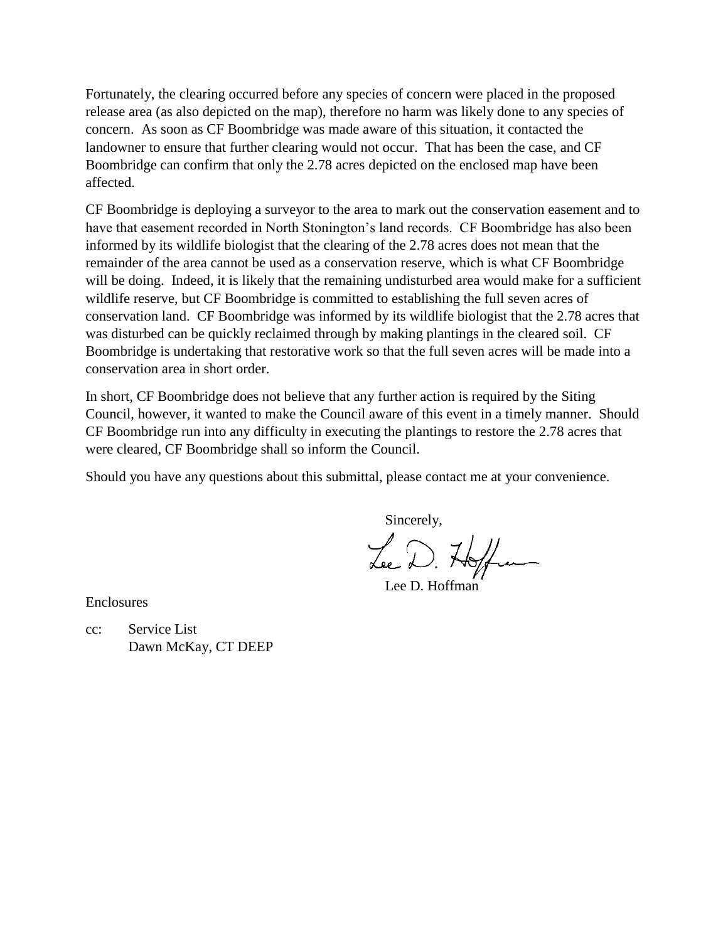Fortunately, the clearing occurred before any species of concern were placed in the proposed release area (as also depicted on the map), therefore no harm was likely done to any species of concern. As soon as CF Boombridge was made aware of this situation, it contacted the landowner to ensure that further clearing would not occur. That has been the case, and CF Boombridge can confirm that only the 2.78 acres depicted on the enclosed map have been affected.

CF Boombridge is deploying a surveyor to the area to mark out the conservation easement and to have that easement recorded in North Stonington's land records. CF Boombridge has also been informed by its wildlife biologist that the clearing of the 2.78 acres does not mean that the remainder of the area cannot be used as a conservation reserve, which is what CF Boombridge will be doing. Indeed, it is likely that the remaining undisturbed area would make for a sufficient wildlife reserve, but CF Boombridge is committed to establishing the full seven acres of conservation land. CF Boombridge was informed by its wildlife biologist that the 2.78 acres that was disturbed can be quickly reclaimed through by making plantings in the cleared soil. CF Boombridge is undertaking that restorative work so that the full seven acres will be made into a conservation area in short order.

In short, CF Boombridge does not believe that any further action is required by the Siting Council, however, it wanted to make the Council aware of this event in a timely manner. Should CF Boombridge run into any difficulty in executing the plantings to restore the 2.78 acres that were cleared, CF Boombridge shall so inform the Council.

Should you have any questions about this submittal, please contact me at your convenience.

Sincerely,

Lee D. Hoffen

Lee D. Hoffman

Enclosures

cc: Service List Dawn McKay, CT DEEP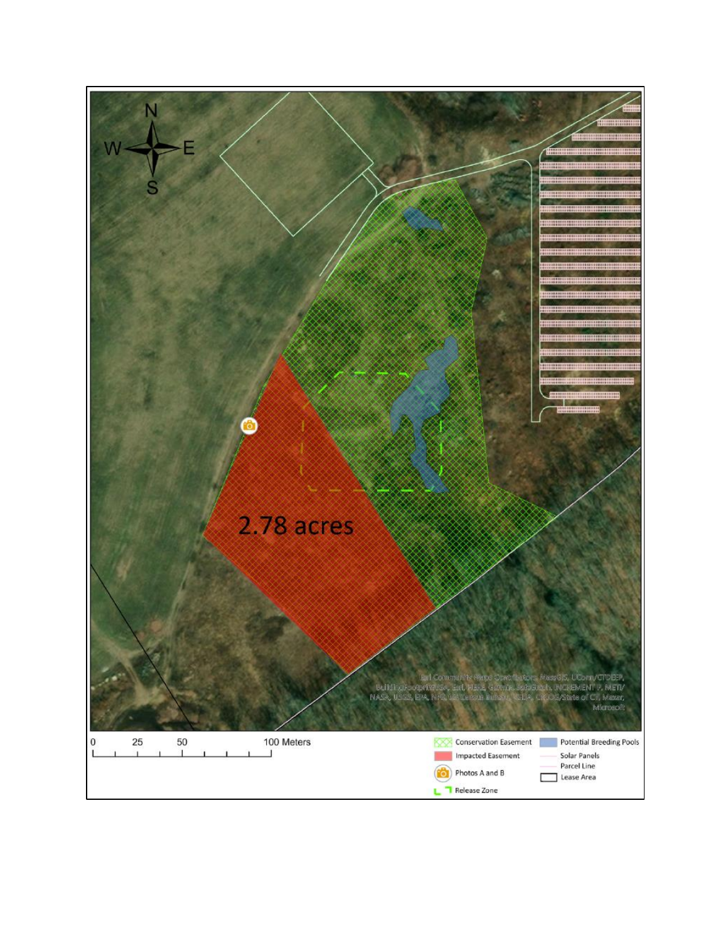